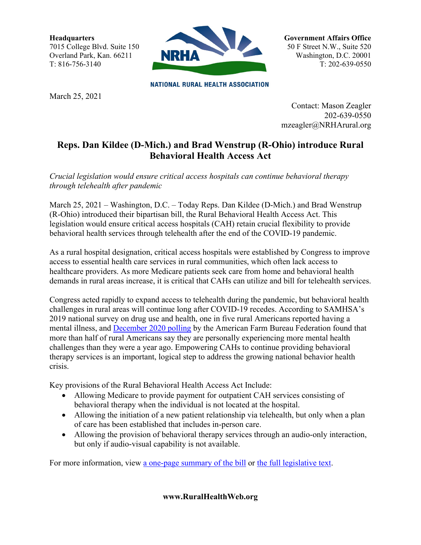**Headquarters** 7015 College Blvd. Suite 150 Overland Park, Kan. 66211 T: 816-756-3140



**NATIONAL RURAL HEALTH ASSOCIATION** 

March 25, 2021

**Government Affairs Office** 50 F Street N.W., Suite 520 Washington, D.C. 20001 T: 202-639-0550

Contact: Mason Zeagler 202-639-0550 mzeagler@NRHArural.org

## **Reps. Dan Kildee (D-Mich.) and Brad Wenstrup (R-Ohio) introduce Rural Behavioral Health Access Act**

*Crucial legislation would ensure critical access hospitals can continue behavioral therapy through telehealth after pandemic* 

March 25, 2021 – Washington, D.C. – Today Reps. Dan Kildee (D-Mich.) and Brad Wenstrup (R-Ohio) introduced their bipartisan bill, the Rural Behavioral Health Access Act. This legislation would ensure critical access hospitals (CAH) retain crucial flexibility to provide behavioral health services through telehealth after the end of the COVID-19 pandemic.

As a rural hospital designation, critical access hospitals were established by Congress to improve access to essential health care services in rural communities, which often lack access to healthcare providers. As more Medicare patients seek care from home and behavioral health demands in rural areas increase, it is critical that CAHs can utilize and bill for telehealth services.

Congress acted rapidly to expand access to telehealth during the pandemic, but behavioral health challenges in rural areas will continue long after COVID-19 recedes. According to SAMHSA's 2019 national survey on drug use and health, one in five rural Americans reported having a mental illness, and [December 2020 polling](https://www.fb.org/files/Impacts_of_COVID-19_on_Rural_Mental_Health_1.6.21.pdf) by the American Farm Bureau Federation found that more than half of rural Americans say they are personally experiencing more mental health challenges than they were a year ago. Empowering CAHs to continue providing behavioral therapy services is an important, logical step to address the growing national behavior health crisis.

Key provisions of the Rural Behavioral Health Access Act Include:

- Allowing Medicare to provide payment for outpatient CAH services consisting of behavioral therapy when the individual is not located at the hospital.
- Allowing the initiation of a new patient relationship via telehealth, but only when a plan of care has been established that includes in-person care.
- Allowing the provision of behavioral therapy services through an audio-only interaction, but only if audio-visual capability is not available.

For more information, view [a one-page summary of the bill](https://drive.google.com/file/d/1OPd1Pz_qO-j3khUITl_9uV_dK538vZ1V/view?usp=sharing) or [the full legislative text.](https://drive.google.com/file/d/1joqz8EfJNrx7xDlKfbJRZWzJP7b7gwIa/view?usp=sharing)

**www.RuralHealthWeb.org**